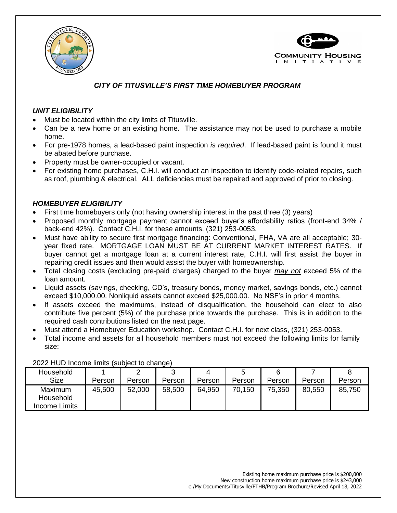



# *CITY OF TITUSVILLE'S FIRST TIME HOMEBUYER PROGRAM*

## *UNIT ELIGIBILITY*

- Must be located within the city limits of Titusville.
- Can be a new home or an existing home. The assistance may not be used to purchase a mobile home.
- For pre-1978 homes, a lead-based paint inspection *is required*. If lead-based paint is found it must be abated before purchase.
- Property must be owner-occupied or vacant.
- For existing home purchases, C.H.I. will conduct an inspection to identify code-related repairs, such as roof, plumbing & electrical. ALL deficiencies must be repaired and approved of prior to closing.

## *HOMEBUYER ELIGIBILITY*

- First time homebuyers only (not having ownership interest in the past three (3) years)
- Proposed monthly mortgage payment cannot exceed buyer's affordability ratios (front-end 34% / back-end 42%). Contact C.H.I. for these amounts, (321) 253-0053.
- Must have ability to secure first mortgage financing: Conventional, FHA, VA are all acceptable; 30 year fixed rate. MORTGAGE LOAN MUST BE AT CURRENT MARKET INTEREST RATES. If buyer cannot get a mortgage loan at a current interest rate, C.H.I. will first assist the buyer in repairing credit issues and then would assist the buyer with homeownership.
- Total closing costs (excluding pre-paid charges) charged to the buyer *may not* exceed 5% of the loan amount.
- Liquid assets (savings, checking, CD's, treasury bonds, money market, savings bonds, etc.) cannot exceed \$10,000.00. Nonliquid assets cannot exceed \$25,000.00. No NSF's in prior 4 months.
- If assets exceed the maximums, instead of disqualification, the household can elect to also contribute five percent (5%) of the purchase price towards the purchase. This is in addition to the required cash contributions listed on the next page.
- Must attend a Homebuyer Education workshop. Contact C.H.I. for next class, (321) 253-0053.
- Total income and assets for all household members must not exceed the following limits for family size:

| Household                             |        | ົ      |        |        |        |        |        |        |
|---------------------------------------|--------|--------|--------|--------|--------|--------|--------|--------|
| <b>Size</b>                           | Person | Person | Person | Person | Person | Person | Person | Person |
| Maximum<br>Household<br>Income Limits | 45,500 | 52,000 | 58,500 | 64,950 | 70,150 | 75,350 | 80,550 | 85,750 |

2022 HUD Income limits (subject to change)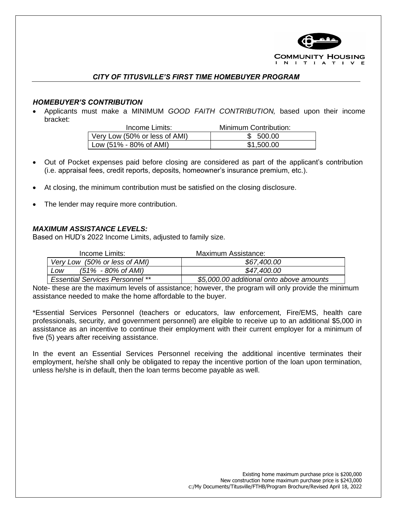

### *CITY OF TITUSVILLE'S FIRST TIME HOMEBUYER PROGRAM*

#### *HOMEBUYER'S CONTRIBUTION*

• Applicants must make a MINIMUM *GOOD FAITH CONTRIBUTION,* based upon their income bracket:

| Income Limits:                | Minimum Contribution: |
|-------------------------------|-----------------------|
| Very Low (50% or less of AMI) | \$ 500.00             |
| Low (51% - 80% of AMI)        | \$1,500.00            |

- Out of Pocket expenses paid before closing are considered as part of the applicant's contribution (i.e. appraisal fees, credit reports, deposits, homeowner's insurance premium, etc.).
- At closing, the minimum contribution must be satisfied on the closing disclosure.
- The lender may require more contribution.

#### *MAXIMUM ASSISTANCE LEVELS:*

Based on HUD's 2022 Income Limits, adjusted to family size.

| Income Limits:                         | Maximum Assistance:                      |
|----------------------------------------|------------------------------------------|
| Very Low (50% or less of AMI)          | \$67,400.00                              |
| $(51\% - 80\% \text{ of AMI})$<br>LOW  | \$47,400.00                              |
| <b>Essential Services Personnel **</b> | \$5,000.00 additional onto above amounts |

Note- these are the maximum levels of assistance; however, the program will only provide the minimum assistance needed to make the home affordable to the buyer.

\*Essential Services Personnel (teachers or educators, law enforcement, Fire/EMS, health care professionals, security, and government personnel) are eligible to receive up to an additional \$5,000 in assistance as an incentive to continue their employment with their current employer for a minimum of five (5) years after receiving assistance.

In the event an Essential Services Personnel receiving the additional incentive terminates their employment, he/she shall only be obligated to repay the incentive portion of the loan upon termination, unless he/she is in default, then the loan terms become payable as well.